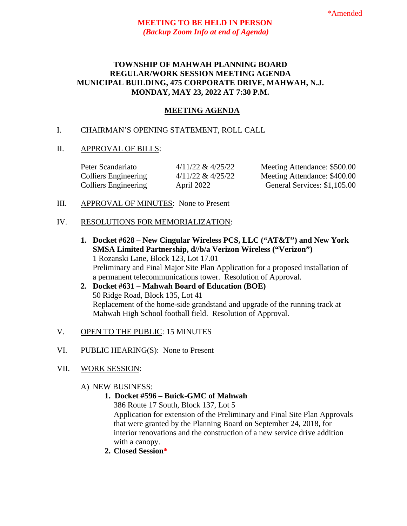### **TOWNSHIP OF MAHWAH PLANNING BOARD REGULAR/WORK SESSION MEETING AGENDA MUNICIPAL BUILDING, 475 CORPORATE DRIVE, MAHWAH, N.J. MONDAY, MAY 23, 2022 AT 7:30 P.M.**

## **MEETING AGENDA**

# I. CHAIRMAN'S OPENING STATEMENT, ROLL CALL

### II. APPROVAL OF BILLS:

| Peter Scandariato           | $4/11/22 \& 4/25/22$ | Meeting Attendance: \$500.00 |
|-----------------------------|----------------------|------------------------------|
| <b>Colliers Engineering</b> | $4/11/22 \& 4/25/22$ | Meeting Attendance: \$400.00 |
| <b>Colliers Engineering</b> | April 2022           | General Services: \$1,105.00 |

### III. APPROVAL OF MINUTES: None to Present

### IV. RESOLUTIONS FOR MEMORIALIZATION:

- **1. Docket #628 – New Cingular Wireless PCS, LLC ("AT&T") and New York SMSA Limited Partnership, d//b/a Verizon Wireless ("Verizon")** 1 Rozanski Lane, Block 123, Lot 17.01 Preliminary and Final Major Site Plan Application for a proposed installation of a permanent telecommunications tower. Resolution of Approval.
- **2. Docket #631 – Mahwah Board of Education (BOE)** 50 Ridge Road, Block 135, Lot 41 Replacement of the home-side grandstand and upgrade of the running track at Mahwah High School football field. Resolution of Approval.
- V. OPEN TO THE PUBLIC: 15 MINUTES
- VI. PUBLIC HEARING(S): None to Present

## VII. WORK SESSION:

- A) NEW BUSINESS:
	- **1. Docket #596 – Buick-GMC of Mahwah**

386 Route 17 South, Block 137, Lot 5 Application for extension of the Preliminary and Final Site Plan Approvals that were granted by the Planning Board on September 24, 2018, for interior renovations and the construction of a new service drive addition with a canopy.

**2. Closed Session\***